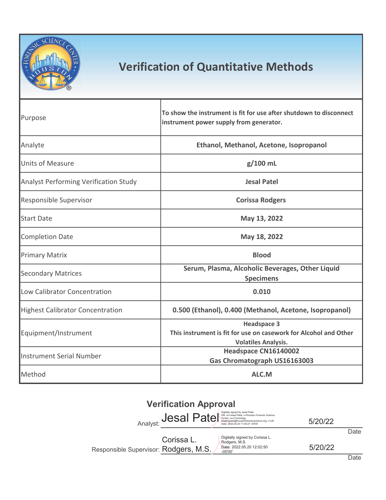

## **Verification of Quantitative Methods**

| Purpose                                      | To show the instrument is fit for use after shutdown to disconnect<br>instrument power supply from generator.        |  |  |
|----------------------------------------------|----------------------------------------------------------------------------------------------------------------------|--|--|
| Analyte                                      | Ethanol, Methanol, Acetone, Isopropanol                                                                              |  |  |
| <b>Units of Measure</b>                      | g/100 mL                                                                                                             |  |  |
| <b>Analyst Performing Verification Study</b> | <b>Jesal Patel</b>                                                                                                   |  |  |
| Responsible Supervisor                       | <b>Corissa Rodgers</b>                                                                                               |  |  |
| <b>Start Date</b>                            | May 13, 2022                                                                                                         |  |  |
| <b>Completion Date</b>                       | May 18, 2022                                                                                                         |  |  |
| <b>Primary Matrix</b>                        | <b>Blood</b>                                                                                                         |  |  |
| <b>Secondary Matrices</b>                    | Serum, Plasma, Alcoholic Beverages, Other Liquid<br><b>Specimens</b>                                                 |  |  |
| Low Calibrator Concentration                 | 0.010                                                                                                                |  |  |
| <b>Highest Calibrator Concentration</b>      | 0.500 (Ethanol), 0.400 (Methanol, Acetone, Isopropanol)                                                              |  |  |
| Equipment/Instrument                         | <b>Headspace 3</b><br>This instrument is fit for use on casework for Alcohol and Other<br><b>Volatiles Analysis.</b> |  |  |
| <b>Instrument Serial Number</b>              | Headspace CN16140002<br>Gas Chromatograph US16163003                                                                 |  |  |
| Method                                       | ALC.M                                                                                                                |  |  |

|                                       | <b>Verification Approval</b>                                                           |                                                                                           |         |                          |
|---------------------------------------|----------------------------------------------------------------------------------------|-------------------------------------------------------------------------------------------|---------|--------------------------|
|                                       | Analyst: Jessi Pate $\text{Pate}^{\text{Dphys, repeated by placed by closed product}}$ |                                                                                           | 5/20/22 |                          |
|                                       |                                                                                        |                                                                                           |         | Date                     |
| Responsible Supervisor: Rodgers, M.S. | Corissa L.                                                                             | Digitally signed by Corissa L.<br>Rodgers, M.S.<br>Date: 2022.05.20 12:02:50<br>$-05'00'$ | 5/20/22 |                          |
|                                       |                                                                                        |                                                                                           |         | $\Gamma_{\alpha+\alpha}$ |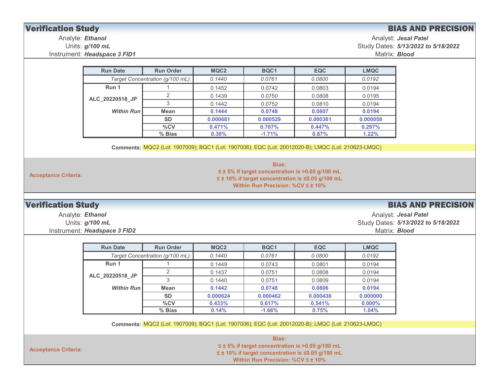| <b>Verification Study</b>                                                                          |                              |                                  |          |                                                                                                    |            |                      | <b>BIAS AND PRECISION</b>           |
|----------------------------------------------------------------------------------------------------|------------------------------|----------------------------------|----------|----------------------------------------------------------------------------------------------------|------------|----------------------|-------------------------------------|
| Analyte: Ethanol                                                                                   |                              |                                  |          |                                                                                                    |            |                      | Analyst: Jesal Patel                |
|                                                                                                    | Units: g/100 mL              |                                  |          |                                                                                                    |            |                      | Study Dates: 5/13/2022 to 5/18/2022 |
|                                                                                                    | Instrument: Headspace 3 FID1 |                                  |          |                                                                                                    |            | Matrix: <b>Blood</b> |                                     |
|                                                                                                    |                              |                                  |          |                                                                                                    |            |                      |                                     |
|                                                                                                    | <b>Run Date</b>              | <b>Run Order</b>                 | MQC2     | BQC1                                                                                               | <b>EQC</b> | <b>LMQC</b>          |                                     |
|                                                                                                    |                              | Target Concentration (g/100 mL). | 0.1440   | 0.0761                                                                                             | 0.0800     | 0.0192               |                                     |
|                                                                                                    | Run 1                        | -1                               | 0.1452   | 0.0742                                                                                             | 0.0803     | 0.0194               |                                     |
|                                                                                                    | ALC_20220518_JP              | $\overline{2}$                   | 0.1439   | 0.0750                                                                                             | 0.0808     | 0.0195               |                                     |
|                                                                                                    |                              | 3                                | 0.1442   | 0.0752                                                                                             | 0.0810     | 0.0194               |                                     |
|                                                                                                    | <b>Within Run</b>            | <b>Mean</b>                      | 0.1444   | 0.0748                                                                                             | 0.0807     | 0.0194               |                                     |
|                                                                                                    |                              | <b>SD</b>                        | 0.000681 | 0.000529                                                                                           | 0.000361   | 0.000058             |                                     |
|                                                                                                    |                              | %CV                              | 0.471%   | 0.707%                                                                                             | 0.447%     | 0.297%               |                                     |
|                                                                                                    |                              | % Bias                           | 0.30%    | $-1.71%$                                                                                           | 0.87%      | 1.22%                |                                     |
|                                                                                                    |                              |                                  |          | Comments: MQC2 (Lot: 1907009); BQC1 (Lot: 1907006); EQC (Lot: 20012020-B); LMQC (Lot: 210623-LMQC) |            |                      |                                     |
|                                                                                                    |                              |                                  |          | <b>Bias:</b>                                                                                       |            |                      |                                     |
| <b>Acceptance Criteria:</b>                                                                        |                              |                                  |          | $\leq$ ± 5% if target concentration is >0.05 g/100 mL                                              |            |                      |                                     |
|                                                                                                    |                              |                                  |          | $\leq$ ± 10% if target concentration is $\leq$ 0.05 g/100 mL                                       |            |                      |                                     |
|                                                                                                    |                              |                                  |          | Within Run Precision: $\%$ CV $\leq \pm$ 10%                                                       |            |                      |                                     |
|                                                                                                    |                              |                                  |          |                                                                                                    |            |                      |                                     |
| <b>Verification Study</b>                                                                          |                              |                                  |          |                                                                                                    |            |                      | <b>BIAS AND PRECISION</b>           |
| Analyte: Ethanol                                                                                   |                              |                                  |          |                                                                                                    |            |                      | Analyst: Jesal Patel                |
|                                                                                                    | Units: g/100 mL              |                                  |          |                                                                                                    |            |                      | Study Dates: 5/13/2022 to 5/18/2022 |
|                                                                                                    | Instrument: Headspace 3 FID2 |                                  |          |                                                                                                    |            | Matrix: <b>Blood</b> |                                     |
|                                                                                                    |                              |                                  |          |                                                                                                    |            |                      |                                     |
|                                                                                                    | <b>Run Date</b>              | <b>Run Order</b>                 | MQC2     | BQC1                                                                                               | <b>EQC</b> | <b>LMQC</b>          |                                     |
|                                                                                                    |                              | Target Concentration (g/100 mL). | 0.1440   | 0.0761                                                                                             | 0.0800     | 0.0192               |                                     |
|                                                                                                    | Run 1                        | $\mathbf{1}$                     | 0.1449   | 0.0743                                                                                             | 0.0801     | 0.0194               |                                     |
|                                                                                                    | ALC_20220518_JP              | $\sqrt{2}$                       | 0.1437   | 0.0751                                                                                             | 0.0808     | 0.0194               |                                     |
|                                                                                                    |                              | 3                                | 0.1440   | 0.0751                                                                                             | 0.0809     | 0.0194               |                                     |
|                                                                                                    | <b>Within Run</b>            | <b>Mean</b>                      | 0.1442   | 0.0748                                                                                             | 0.0806     | 0.0194               |                                     |
|                                                                                                    |                              | <b>SD</b>                        | 0.000624 | 0.000462                                                                                           | 0.000436   | 0.000000             |                                     |
|                                                                                                    |                              | $\sqrt[9]{\text{cV}}$            | 0.433%   | 0.617%                                                                                             | 0.541%     | $0.000\%$            |                                     |
|                                                                                                    |                              | $%$ Bias                         | 0.14%    | $-1.66%$                                                                                           | 0.75%      | 1.04%                |                                     |
| Comments: MQC2 (Lot: 1907009); BQC1 (Lot: 1907006); EQC (Lot: 20012020-B); LMQC (Lot: 210623-LMQC) |                              |                                  |          |                                                                                                    |            |                      |                                     |
|                                                                                                    |                              |                                  |          | Bias:                                                                                              |            |                      |                                     |
|                                                                                                    |                              |                                  |          | $\leq$ ± 5% if target concentration is >0.05 g/100 mL                                              |            |                      |                                     |
| <b>Acceptance Criteria:</b>                                                                        |                              |                                  |          | $\leq$ ± 10% if target concentration is $\leq$ 0.05 g/100 mL                                       |            |                      |                                     |
|                                                                                                    |                              |                                  |          | Within Run Precision: $\%$ CV $\leq \pm 10\%$                                                      |            |                      |                                     |
|                                                                                                    |                              |                                  |          |                                                                                                    |            |                      |                                     |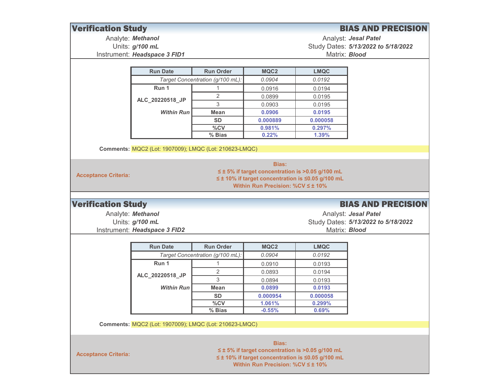| <b>Verification Study</b>   |                                                        |                                  |                                               |                                                       | <b>BIAS AND PRECISION</b>           |
|-----------------------------|--------------------------------------------------------|----------------------------------|-----------------------------------------------|-------------------------------------------------------|-------------------------------------|
|                             | Analyte: Methanol                                      |                                  |                                               |                                                       | Analyst: Jesal Patel                |
|                             | Units: g/100 mL                                        |                                  |                                               |                                                       | Study Dates: 5/13/2022 to 5/18/2022 |
|                             | Instrument: Headspace 3 FID1                           |                                  |                                               | Matrix: <b>Blood</b>                                  |                                     |
|                             |                                                        |                                  |                                               |                                                       |                                     |
|                             | <b>Run Date</b>                                        | <b>Run Order</b>                 | MQC2                                          | <b>LMQC</b>                                           |                                     |
|                             |                                                        | Target Concentration (g/100 mL): | 0.0904                                        | 0.0192                                                |                                     |
|                             | Run 1                                                  |                                  | 0.0916                                        | 0.0194                                                |                                     |
|                             | ALC_20220518_JP                                        | $\overline{2}$                   | 0.0899                                        | 0.0195                                                |                                     |
|                             |                                                        | 3                                | 0.0903                                        | 0.0195                                                |                                     |
|                             | <b>Within Run</b>                                      | <b>Mean</b>                      | 0.0906                                        | 0.0195                                                |                                     |
|                             |                                                        | <b>SD</b>                        | 0.000889                                      | 0.000058                                              |                                     |
|                             |                                                        | $\sqrt[9]{\text{CV}}$            | 0.981%                                        | 0.297%                                                |                                     |
|                             |                                                        | $\overline{\%}$ Bias             | 0.22%                                         | 1.39%                                                 |                                     |
|                             | Comments: MQC2 (Lot: 1907009); LMQC (Lot: 210623-LMQC) |                                  |                                               |                                                       |                                     |
|                             |                                                        |                                  |                                               |                                                       |                                     |
|                             |                                                        |                                  | <b>Bias:</b>                                  |                                                       |                                     |
|                             |                                                        |                                  |                                               | $\leq$ ± 5% if target concentration is >0.05 g/100 mL |                                     |
| <b>Acceptance Criteria:</b> |                                                        |                                  |                                               | ≤ ± 10% if target concentration is ≤0.05 g/100 mL     |                                     |
|                             |                                                        |                                  | Within Run Precision: $\%$ CV $\leq \pm$ 10%  |                                                       |                                     |
|                             |                                                        |                                  |                                               |                                                       |                                     |
| <b>Verification Study</b>   |                                                        |                                  |                                               |                                                       | <b>BIAS AND PRECISION</b>           |
|                             | Analyte: Methanol                                      |                                  |                                               |                                                       | Analyst: Jesal Patel                |
|                             | Units: g/100 mL                                        |                                  |                                               |                                                       | Study Dates: 5/13/2022 to 5/18/2022 |
|                             | Instrument: Headspace 3 FID2                           |                                  |                                               | Matrix: <b>Blood</b>                                  |                                     |
|                             |                                                        |                                  |                                               |                                                       |                                     |
|                             | <b>Run Date</b>                                        | <b>Run Order</b>                 | MQC2                                          | <b>LMQC</b>                                           |                                     |
|                             |                                                        | Target Concentration (g/100 mL): | 0.0904                                        | 0.0192                                                |                                     |
|                             | Run 1                                                  | 1                                | 0.0910                                        | 0.0193                                                |                                     |
|                             | ALC_20220518_JP                                        | $\overline{2}$                   | 0.0893                                        | 0.0194                                                |                                     |
|                             |                                                        | 3                                | 0.0894                                        | 0.0193                                                |                                     |
|                             | <b>Within Run</b>                                      | <b>Mean</b>                      | 0.0899                                        | 0.0193                                                |                                     |
|                             |                                                        | <b>SD</b>                        | 0.000954                                      | 0.000058                                              |                                     |
|                             |                                                        | $\sqrt[9]{\text{cV}}$            | 1.061%                                        | 0.299%                                                |                                     |
|                             |                                                        | % Bias                           | $-0.55%$                                      | 0.69%                                                 |                                     |
|                             |                                                        |                                  |                                               |                                                       |                                     |
|                             | Comments: MQC2 (Lot: 1907009); LMQC (Lot: 210623-LMQC) |                                  |                                               |                                                       |                                     |
|                             |                                                        |                                  |                                               |                                                       |                                     |
|                             |                                                        |                                  | <b>Bias:</b>                                  |                                                       |                                     |
| <b>Acceptance Criteria:</b> |                                                        |                                  |                                               | $\leq$ ± 5% if target concentration is >0.05 g/100 mL |                                     |
|                             |                                                        |                                  |                                               | ≤ ± 10% if target concentration is ≤0.05 g/100 mL     |                                     |
|                             |                                                        |                                  | Within Run Precision: $\%$ CV $\leq \pm 10\%$ |                                                       |                                     |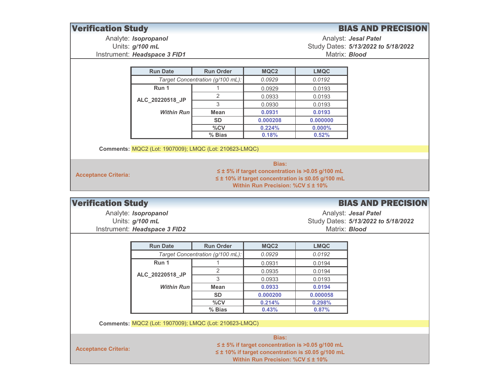#### **Verification Study Contract of the Contract of Contract Contract Contract Contract Contract Contract Contract Contract Contract Contract Contract Contract Contract Contract Contract Contract Contract Contract Contract Con** Analyte: *Isopropanol* Analyst: *Jesal Patel* Units: g/100 mL *g/100 mL* Study Dates: *5/13/2022 to 5/18/2022* Instrument: *Headspace 3 FID1* Matrix: *Blood* **Run Date Run Order MQC2 LMQC***Target Concentration (g/100 mL): 0.0929 0.0192* **Run 1** $1 \t\t 0.0929$ 0.0193 20.0933 0.0193 30.0930 0.0193 *Within Run* **Mean 0.0931 0.0193 SD 0.000208 0.000000 %CV 0.224% 0.000%% Bias 0.18% 0.52%Comments:** MQC2 (Lot: 1907009); LMQC (Lot: 210623-LMQC) **Acceptance Criteria: ALC\_20220518\_JP Bias:** $\leq$  ± 5% if target concentration is >0.05 g/100 mL ≦ ± 10% if target concentration is ≤0.05 g/100 mL

# Within Run Precision: %CV ≤ ± 10%

#### **Verification Study BIAS AND PRECISION**

Analyte: *Isopropanol* Analyst: *Jesal Patel* Units: g/100 mL

*g/100 mL* Study Dates: *5/13/2022 to 5/18/2022*

Instrument: *Headspace 3 FID2* Matrix: *Blood*

| <b>Run Date</b>                  | <b>Run Order</b> | MQC <sub>2</sub> | <b>LMQC</b> |
|----------------------------------|------------------|------------------|-------------|
| Target Concentration (g/100 mL): |                  | 0.0929           | 0.0192      |
| Run 1                            |                  | 0.0931           | 0.0194      |
| ALC 20220518 JP                  | 2                | 0.0935           | 0.0194      |
|                                  | 3                | 0.0933           | 0.0193      |
| <b>Within Run</b>                | Mean             | 0.0933           | 0.0194      |
|                                  | <b>SD</b>        | 0.000200         | 0.000058    |
|                                  | $\%$ CV          | 0.214%           | 0.298%      |
|                                  | % Bias           | 0.43%            | 0.87%       |

**Comments:** MQC2 (Lot: 1907009); LMQC (Lot: 210623-LMQC)

**Acceptance Criteria:**

**Bias:** $\leq$  ± 5% if target concentration is >0.05 g/100 mL **≤ ± 10% if target concentration is ≤0.05 g/100 mL** Within Run Precision: %CV ≤ ± 10%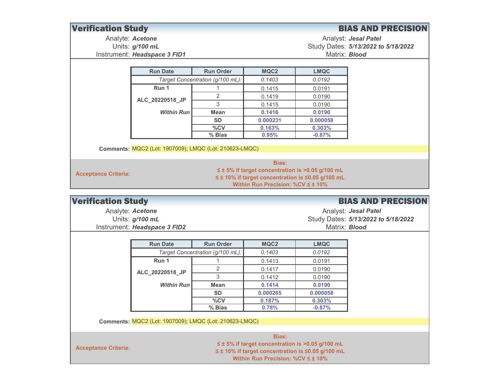#### **Verification Study And Accord Contract Contract Contract Contract Contract Contract Contract Contract Contract Contract Contract Contract Contract Contract Contract Contract Contract Contract Contract Contract Contract Co**

Units: g/100 mL

Analyte: *Acetone* Analyst: *Jesal Patel g/100 mL* Study Dates: *5/13/2022 to 5/18/2022*

Instrument: *Headspace 3 FID1* Matrix: *Blood*

| <b>Run Date</b>                  | <b>Run Order</b> | MQC <sub>2</sub> | <b>LMQC</b> |
|----------------------------------|------------------|------------------|-------------|
| Target Concentration (g/100 mL): |                  | 0.1403           | 0.0192      |
| Run 1                            |                  | 0.1415           | 0.0191      |
| ALC 20220518 JP                  | 2                | 0.1419           | 0.0190      |
|                                  | 3                | 0.1415           | 0.0190      |
| <b>Within Run</b>                | <b>Mean</b>      | 0.1416           | 0.0190      |
|                                  | <b>SD</b>        | 0.000231         | 0.000058    |
|                                  | %CV              | 0.163%           | 0.303%      |
|                                  | % Bias           | 0.95%            | $-0.87%$    |

**Comments:** MQC2 (Lot: 1907009); LMQC (Lot: 210623-LMQC)

**Bias:** $\leq$  ± 5% if target concentration is >0.05 g/100 mL **≤ ± 10% if target concentration is ≤0.05 g/100 mL** Within Run Precision: %CV ≤ ± 10%

**Acceptance Criteria:**

**Verification Study And Accord Contract Contract Contract Contract Contract Contract Contract Contract Contract Contract Contract Contract Contract Contract Contract Contract Contract Contract Contract Contract Contract Co** 

Units: g/100 mL

Analyte: *Acetone* Analyst: *Jesal Patel g/100 mL* Study Dates: *5/13/2022 to 5/18/2022* Instrument: *Headspace 3 FID2* Matrix: *Blood*

| <b>Run Date</b>                  | <b>Run Order</b> | MQC <sub>2</sub> | <b>LMQC</b> |
|----------------------------------|------------------|------------------|-------------|
| Target Concentration (g/100 mL): |                  | 0.1403           | 0.0192      |
| Run 1                            |                  | 0.1413           | 0.0191      |
| ALC 20220518 JP                  | 2                | 0.1417           | 0.0190      |
|                                  | 3                | 0.1412           | 0.0190      |
| <b>Within Run</b>                | Mean             | 0.1414           | 0.0190      |
|                                  | <b>SD</b>        | 0.000265         | 0.000058    |
|                                  | %CV              | 0.187%           | 0.303%      |
|                                  | % Bias           | 0.78%            | $-0.87%$    |

**Comments:** MQC2 (Lot: 1907009); LMQC (Lot: 210623-LMQC)

**Acceptance Criteria:**

**Bias:** $\leq$  ± 5% if target concentration is >0.05 g/100 mL  $\leq$  ± 10% if target concentration is  $\leq$ 0.05 g/100 mL **Within Run Precision: %CV ≤ ± 10%**